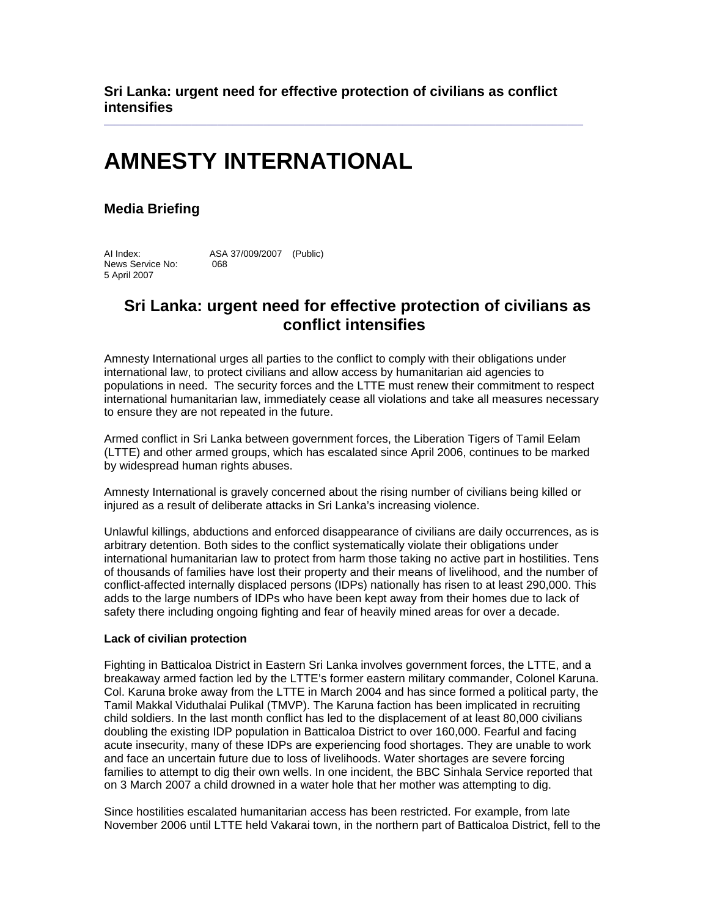**Sri Lanka: urgent need for effective protection of civilians as conflict intensifies** 

 $\_$  ,  $\_$  ,  $\_$  ,  $\_$  ,  $\_$  ,  $\_$  ,  $\_$  ,  $\_$  ,  $\_$  ,  $\_$  ,  $\_$  ,  $\_$  ,  $\_$  ,  $\_$  ,  $\_$  ,  $\_$  ,  $\_$  ,  $\_$  ,  $\_$  ,  $\_$ 

# **AMNESTY INTERNATIONAL**

### **Media Briefing**

AI Index: ASA 37/009/2007 (Public) News Service No: 068 5 April 2007

## **Sri Lanka: urgent need for effective protection of civilians as conflict intensifies**

Amnesty International urges all parties to the conflict to comply with their obligations under international law, to protect civilians and allow access by humanitarian aid agencies to populations in need. The security forces and the LTTE must renew their commitment to respect international humanitarian law, immediately cease all violations and take all measures necessary to ensure they are not repeated in the future.

Armed conflict in Sri Lanka between government forces, the Liberation Tigers of Tamil Eelam (LTTE) and other armed groups, which has escalated since April 2006, continues to be marked by widespread human rights abuses.

Amnesty International is gravely concerned about the rising number of civilians being killed or injured as a result of deliberate attacks in Sri Lanka's increasing violence.

Unlawful killings, abductions and enforced disappearance of civilians are daily occurrences, as is arbitrary detention. Both sides to the conflict systematically violate their obligations under international humanitarian law to protect from harm those taking no active part in hostilities. Tens of thousands of families have lost their property and their means of livelihood, and the number of conflict-affected internally displaced persons (IDPs) nationally has risen to at least 290,000. This adds to the large numbers of IDPs who have been kept away from their homes due to lack of safety there including ongoing fighting and fear of heavily mined areas for over a decade.

#### **Lack of civilian protection**

Fighting in Batticaloa District in Eastern Sri Lanka involves government forces, the LTTE, and a breakaway armed faction led by the LTTE's former eastern military commander, Colonel Karuna. Col. Karuna broke away from the LTTE in March 2004 and has since formed a political party, the Tamil Makkal Viduthalai Pulikal (TMVP). The Karuna faction has been implicated in recruiting child soldiers. In the last month conflict has led to the displacement of at least 80,000 civilians doubling the existing IDP population in Batticaloa District to over 160,000. Fearful and facing acute insecurity, many of these IDPs are experiencing food shortages. They are unable to work and face an uncertain future due to loss of livelihoods. Water shortages are severe forcing families to attempt to dig their own wells. In one incident, the BBC Sinhala Service reported that on 3 March 2007 a child drowned in a water hole that her mother was attempting to dig.

Since hostilities escalated humanitarian access has been restricted. For example, from late November 2006 until LTTE held Vakarai town, in the northern part of Batticaloa District, fell to the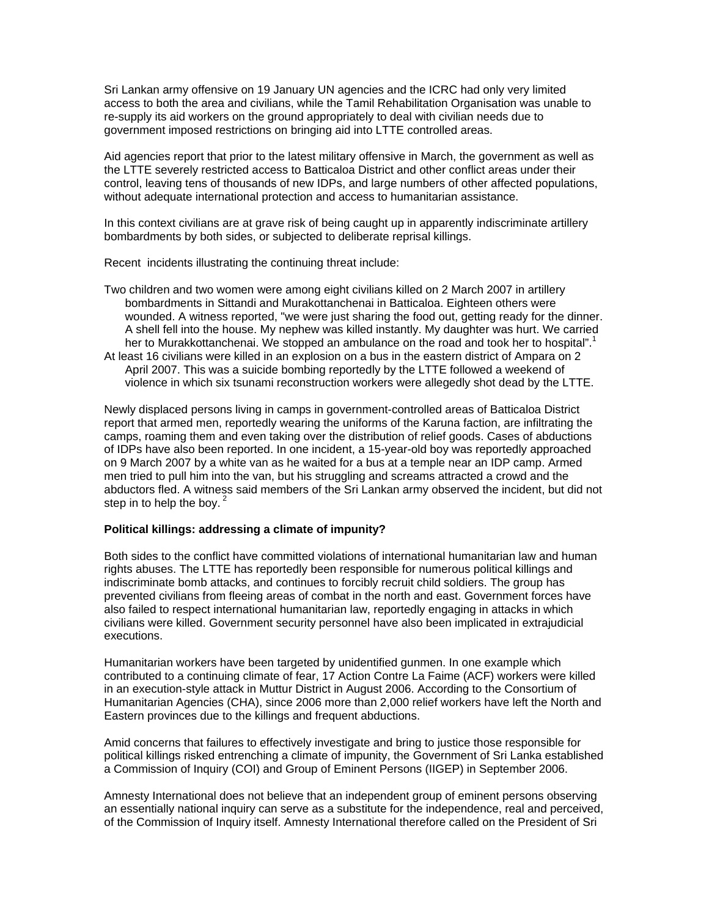Sri Lankan army offensive on 19 January UN agencies and the ICRC had only very limited access to both the area and civilians, while the Tamil Rehabilitation Organisation was unable to re-supply its aid workers on the ground appropriately to deal with civilian needs due to government imposed restrictions on bringing aid into LTTE controlled areas.

Aid agencies report that prior to the latest military offensive in March, the government as well as the LTTE severely restricted access to Batticaloa District and other conflict areas under their control, leaving tens of thousands of new IDPs, and large numbers of other affected populations, without adequate international protection and access to humanitarian assistance.

In this context civilians are at grave risk of being caught up in apparently indiscriminate artillery bombardments by both sides, or subjected to deliberate reprisal killings.

Recent incidents illustrating the continuing threat include:

Two children and two women were among eight civilians killed on 2 March 2007 in artillery bombardments in Sittandi and Murakottanchenai in Batticaloa. Eighteen others were wounded. A witness reported, "we were just sharing the food out, getting ready for the dinner. A shell fell into the house. My nephew was killed instantly. My daughter was hurt. We carried her to Murakkottanchenai. We stopped an ambulance on the road and took her to hospital".<sup>1</sup> At least 16 civilians were killed in an explosion on a bus in the eastern district of Ampara on 2 April 2007. This was a suicide bombing reportedly by the LTTE followed a weekend of violence in which six tsunami reconstruction workers were allegedly shot dead by the LTTE.

Newly displaced persons living in camps in government-controlled areas of Batticaloa District report that armed men, reportedly wearing the uniforms of the Karuna faction, are infiltrating the camps, roaming them and even taking over the distribution of relief goods. Cases of abductions of IDPs have also been reported. In one incident, a 15-year-old boy was reportedly approached on 9 March 2007 by a white van as he waited for a bus at a temple near an IDP camp. Armed men tried to pull him into the van, but his struggling and screams attracted a crowd and the abductors fled. A witness said members of the Sri Lankan army observed the incident, but did not step in to help the boy. $<sup>2</sup>$ </sup>

#### **Political killings: addressing a climate of impunity?**

Both sides to the conflict have committed violations of international humanitarian law and human rights abuses. The LTTE has reportedly been responsible for numerous political killings and indiscriminate bomb attacks, and continues to forcibly recruit child soldiers. The group has prevented civilians from fleeing areas of combat in the north and east. Government forces have also failed to respect international humanitarian law, reportedly engaging in attacks in which civilians were killed. Government security personnel have also been implicated in extrajudicial executions.

Humanitarian workers have been targeted by unidentified gunmen. In one example which contributed to a continuing climate of fear, 17 Action Contre La Faime (ACF) workers were killed in an execution-style attack in Muttur District in August 2006. According to the Consortium of Humanitarian Agencies (CHA), since 2006 more than 2,000 relief workers have left the North and Eastern provinces due to the killings and frequent abductions.

Amid concerns that failures to effectively investigate and bring to justice those responsible for political killings risked entrenching a climate of impunity, the Government of Sri Lanka established a Commission of Inquiry (COI) and Group of Eminent Persons (IIGEP) in September 2006.

Amnesty International does not believe that an independent group of eminent persons observing an essentially national inquiry can serve as a substitute for the independence, real and perceived, of the Commission of Inquiry itself. Amnesty International therefore called on the President of Sri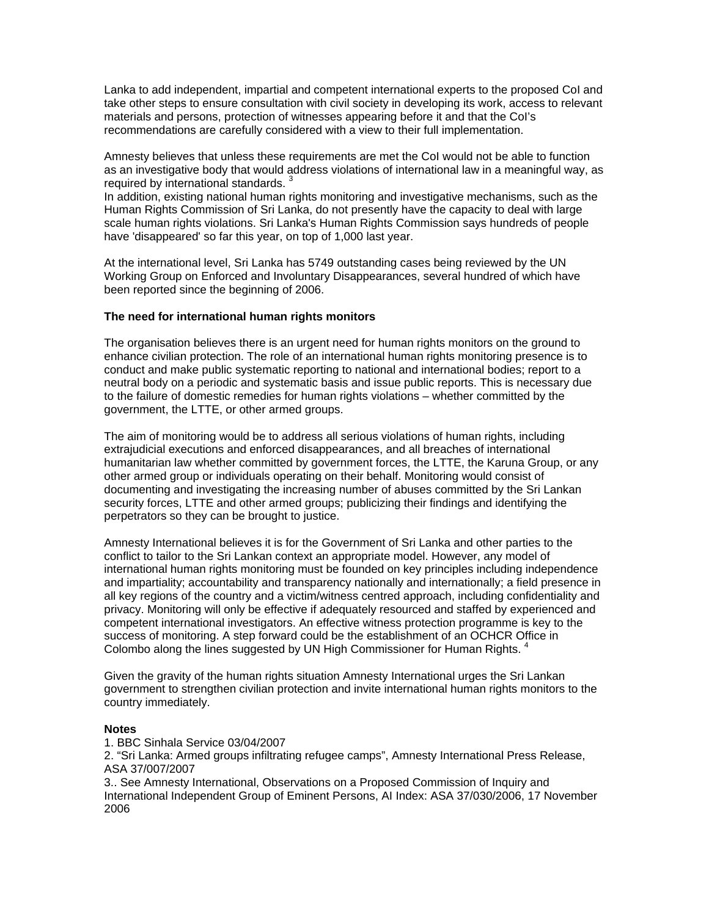Lanka to add independent, impartial and competent international experts to the proposed CoI and take other steps to ensure consultation with civil society in developing its work, access to relevant materials and persons, protection of witnesses appearing before it and that the CoI's recommendations are carefully considered with a view to their full implementation.

Amnesty believes that unless these requirements are met the CoI would not be able to function as an investigative body that would address violations of international law in a meaningful way, as required by international standards.

In addition, existing national human rights monitoring and investigative mechanisms, such as the Human Rights Commission of Sri Lanka, do not presently have the capacity to deal with large scale human rights violations. Sri Lanka's Human Rights Commission says hundreds of people have 'disappeared' so far this year, on top of 1,000 last year.

At the international level, Sri Lanka has 5749 outstanding cases being reviewed by the UN Working Group on Enforced and Involuntary Disappearances, several hundred of which have been reported since the beginning of 2006.

#### **The need for international human rights monitors**

The organisation believes there is an urgent need for human rights monitors on the ground to enhance civilian protection. The role of an international human rights monitoring presence is to conduct and make public systematic reporting to national and international bodies; report to a neutral body on a periodic and systematic basis and issue public reports. This is necessary due to the failure of domestic remedies for human rights violations – whether committed by the government, the LTTE, or other armed groups.

The aim of monitoring would be to address all serious violations of human rights, including extrajudicial executions and enforced disappearances, and all breaches of international humanitarian law whether committed by government forces, the LTTE, the Karuna Group, or any other armed group or individuals operating on their behalf. Monitoring would consist of documenting and investigating the increasing number of abuses committed by the Sri Lankan security forces, LTTE and other armed groups; publicizing their findings and identifying the perpetrators so they can be brought to justice.

Amnesty International believes it is for the Government of Sri Lanka and other parties to the conflict to tailor to the Sri Lankan context an appropriate model. However, any model of international human rights monitoring must be founded on key principles including independence and impartiality; accountability and transparency nationally and internationally; a field presence in all key regions of the country and a victim/witness centred approach, including confidentiality and privacy. Monitoring will only be effective if adequately resourced and staffed by experienced and competent international investigators. An effective witness protection programme is key to the success of monitoring. A step forward could be the establishment of an OCHCR Office in Colombo along the lines suggested by UN High Commissioner for Human Rights.  $4$ 

Given the gravity of the human rights situation Amnesty International urges the Sri Lankan government to strengthen civilian protection and invite international human rights monitors to the country immediately.

#### **Notes**

1. BBC Sinhala Service 03/04/2007

2. "Sri Lanka: Armed groups infiltrating refugee camps", Amnesty International Press Release, ASA 37/007/2007

3.. See Amnesty International, Observations on a Proposed Commission of Inquiry and International Independent Group of Eminent Persons, AI Index: ASA 37/030/2006, 17 November 2006